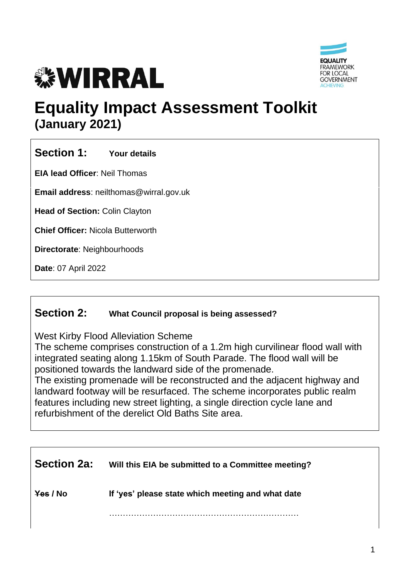



# **Equality Impact Assessment Toolkit (January 2021)**

## **Section 1: Your details**

**EIA lead Officer**: Neil Thomas

**Email address**: neilthomas@wirral.gov.uk

**Head of Section:** Colin Clayton

**Chief Officer:** Nicola Butterworth

**Directorate**: Neighbourhoods

**Date**: 07 April 2022

## **Section 2: What Council proposal is being assessed?**

West Kirby Flood Alleviation Scheme

The scheme comprises construction of a 1.2m high curvilinear flood wall with integrated seating along 1.15km of South Parade. The flood wall will be positioned towards the landward side of the promenade.

The existing promenade will be reconstructed and the adjacent highway and landward footway will be resurfaced. The scheme incorporates public realm features including new street lighting, a single direction cycle lane and refurbishment of the derelict Old Baths Site area.

| <b>Section 2a:</b> | Will this EIA be submitted to a Committee meeting? |
|--------------------|----------------------------------------------------|
| Yes / No           | If 'yes' please state which meeting and what date  |
|                    |                                                    |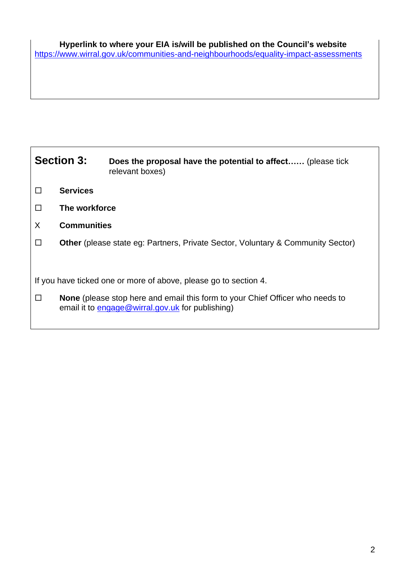| <b>Section 3:</b>                                                |                                                                                        | Does the proposal have the potential to affect (please tick<br>relevant boxes)                                                           |  |  |  |
|------------------------------------------------------------------|----------------------------------------------------------------------------------------|------------------------------------------------------------------------------------------------------------------------------------------|--|--|--|
| П                                                                | <b>Services</b>                                                                        |                                                                                                                                          |  |  |  |
| $\Box$                                                           | The workforce                                                                          |                                                                                                                                          |  |  |  |
| X                                                                | <b>Communities</b>                                                                     |                                                                                                                                          |  |  |  |
| $\perp$                                                          | <b>Other</b> (please state eg: Partners, Private Sector, Voluntary & Community Sector) |                                                                                                                                          |  |  |  |
| If you have ticked one or more of above, please go to section 4. |                                                                                        |                                                                                                                                          |  |  |  |
| $\perp$                                                          |                                                                                        | <b>None</b> (please stop here and email this form to your Chief Officer who needs to<br>email it to engage@wirral.gov.uk for publishing) |  |  |  |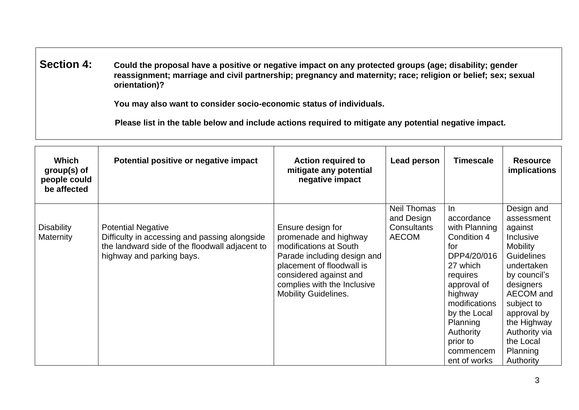**Section 4: Could the proposal have a positive or negative impact on any protected groups (age; disability; gender reassignment; marriage and civil partnership; pregnancy and maternity; race; religion or belief; sex; sexual orientation)?**

**You may also want to consider socio-economic status of individuals.**

 **Please list in the table below and include actions required to mitigate any potential negative impact.**

| Which<br>group(s) of<br>people could<br>be affected | Potential positive or negative impact                                                                                                                     | <b>Action required to</b><br>mitigate any potential<br>negative impact                                                                                                                                                   | Lead person                                                     | <b>Timescale</b>                                                                                                                                                                                                             | <b>Resource</b><br>implications                                                                                                                                                                                                                     |
|-----------------------------------------------------|-----------------------------------------------------------------------------------------------------------------------------------------------------------|--------------------------------------------------------------------------------------------------------------------------------------------------------------------------------------------------------------------------|-----------------------------------------------------------------|------------------------------------------------------------------------------------------------------------------------------------------------------------------------------------------------------------------------------|-----------------------------------------------------------------------------------------------------------------------------------------------------------------------------------------------------------------------------------------------------|
| <b>Disability</b><br>Maternity                      | <b>Potential Negative</b><br>Difficulty in accessing and passing alongside<br>the landward side of the floodwall adjacent to<br>highway and parking bays. | Ensure design for<br>promenade and highway<br>modifications at South<br>Parade including design and<br>placement of floodwall is<br>considered against and<br>complies with the Inclusive<br><b>Mobility Guidelines.</b> | <b>Neil Thomas</b><br>and Design<br>Consultants<br><b>AECOM</b> | In.<br>accordance<br>with Planning<br>Condition 4<br>for<br>DPP4/20/016<br>27 which<br>requires<br>approval of<br>highway<br>modifications<br>by the Local<br>Planning<br>Authority<br>prior to<br>commencem<br>ent of works | Design and<br>assessment<br>against<br>Inclusive<br><b>Mobility</b><br>Guidelines<br>undertaken<br>by council's<br>designers<br>AECOM and<br>subject to<br>approval by<br>the Highway<br>Authority via<br>the Local<br><b>Planning</b><br>Authority |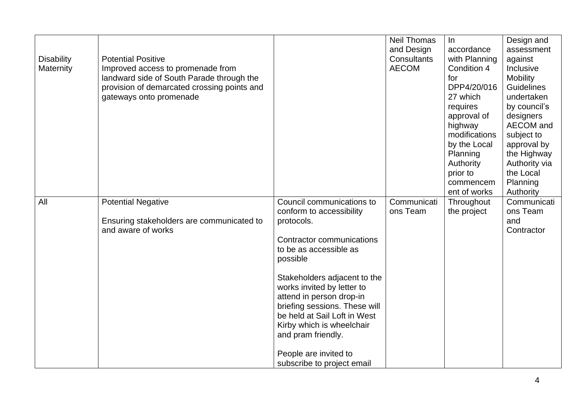| <b>Disability</b><br><b>Maternity</b> | <b>Potential Positive</b><br>Improved access to promenade from<br>landward side of South Parade through the<br>provision of demarcated crossing points and<br>gateways onto promenade |                                                                                                                                                                                                                                                                                                                                                                                                             | <b>Neil Thomas</b><br>and Design<br>Consultants<br><b>AECOM</b> | $\ln$<br>accordance<br>with Planning<br>Condition 4<br>for<br>DPP4/20/016<br>27 which<br>requires<br>approval of<br>highway<br>modifications<br>by the Local<br>Planning<br>Authority<br>prior to<br>commencem<br>ent of works | Design and<br>assessment<br>against<br>Inclusive<br><b>Mobility</b><br><b>Guidelines</b><br>undertaken<br>by council's<br>designers<br>AECOM and<br>subject to<br>approval by<br>the Highway<br>Authority via<br>the Local<br>Planning<br>Authority |
|---------------------------------------|---------------------------------------------------------------------------------------------------------------------------------------------------------------------------------------|-------------------------------------------------------------------------------------------------------------------------------------------------------------------------------------------------------------------------------------------------------------------------------------------------------------------------------------------------------------------------------------------------------------|-----------------------------------------------------------------|--------------------------------------------------------------------------------------------------------------------------------------------------------------------------------------------------------------------------------|-----------------------------------------------------------------------------------------------------------------------------------------------------------------------------------------------------------------------------------------------------|
| All                                   | <b>Potential Negative</b><br>Ensuring stakeholders are communicated to<br>and aware of works                                                                                          | Council communications to<br>conform to accessibility<br>protocols.<br>Contractor communications<br>to be as accessible as<br>possible<br>Stakeholders adjacent to the<br>works invited by letter to<br>attend in person drop-in<br>briefing sessions. These will<br>be held at Sail Loft in West<br>Kirby which is wheelchair<br>and pram friendly.<br>People are invited to<br>subscribe to project email | Communicati<br>ons Team                                         | Throughout<br>the project                                                                                                                                                                                                      | Communicati<br>ons Team<br>and<br>Contractor                                                                                                                                                                                                        |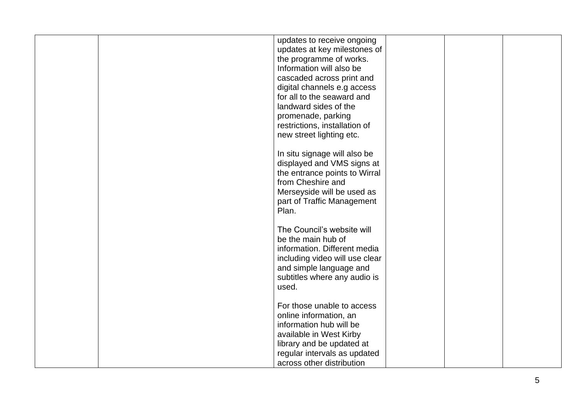|  | updates to receive ongoing                              |  |  |
|--|---------------------------------------------------------|--|--|
|  | updates at key milestones of<br>the programme of works. |  |  |
|  | Information will also be                                |  |  |
|  | cascaded across print and                               |  |  |
|  | digital channels e.g access                             |  |  |
|  | for all to the seaward and                              |  |  |
|  | landward sides of the                                   |  |  |
|  | promenade, parking                                      |  |  |
|  | restrictions, installation of                           |  |  |
|  | new street lighting etc.                                |  |  |
|  |                                                         |  |  |
|  | In situ signage will also be                            |  |  |
|  | displayed and VMS signs at                              |  |  |
|  | the entrance points to Wirral                           |  |  |
|  | from Cheshire and                                       |  |  |
|  | Merseyside will be used as                              |  |  |
|  | part of Traffic Management                              |  |  |
|  | Plan.                                                   |  |  |
|  | The Council's website will                              |  |  |
|  | be the main hub of                                      |  |  |
|  | information. Different media                            |  |  |
|  | including video will use clear                          |  |  |
|  | and simple language and                                 |  |  |
|  | subtitles where any audio is                            |  |  |
|  | used.                                                   |  |  |
|  |                                                         |  |  |
|  | For those unable to access                              |  |  |
|  | online information, an                                  |  |  |
|  | information hub will be                                 |  |  |
|  | available in West Kirby                                 |  |  |
|  | library and be updated at                               |  |  |
|  | regular intervals as updated                            |  |  |
|  | across other distribution                               |  |  |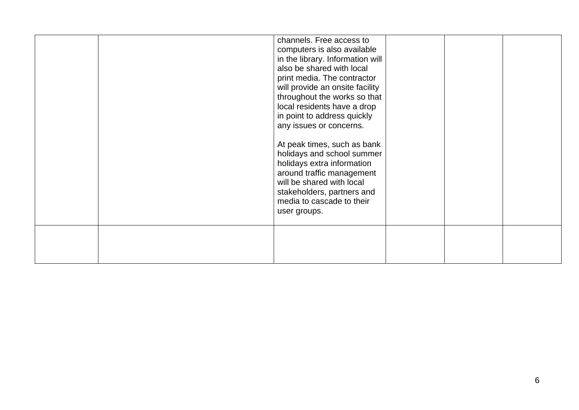|  | channels. Free access to<br>computers is also available<br>in the library. Information will<br>also be shared with local<br>print media. The contractor<br>will provide an onsite facility<br>throughout the works so that<br>local residents have a drop<br>in point to address quickly<br>any issues or concerns.<br>At peak times, such as bank<br>holidays and school summer<br>holidays extra information<br>around traffic management<br>will be shared with local<br>stakeholders, partners and<br>media to cascade to their<br>user groups. |  |  |
|--|-----------------------------------------------------------------------------------------------------------------------------------------------------------------------------------------------------------------------------------------------------------------------------------------------------------------------------------------------------------------------------------------------------------------------------------------------------------------------------------------------------------------------------------------------------|--|--|
|  |                                                                                                                                                                                                                                                                                                                                                                                                                                                                                                                                                     |  |  |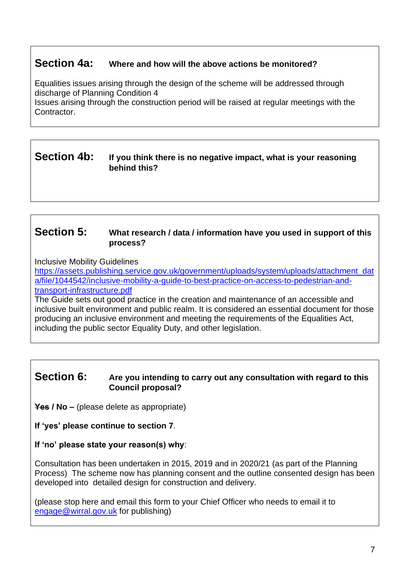## **Section 4a: Where and how will the above actions be monitored?**

Equalities issues arising through the design of the scheme will be addressed through discharge of Planning Condition 4

Issues arising through the construction period will be raised at regular meetings with the Contractor.

### **Section 4b: If you think there is no negative impact, what is your reasoning behind this?**

#### **Section 5: What research / data / information have you used in support of this process?**

Inclusive Mobility Guidelines

[https://assets.publishing.service.gov.uk/government/uploads/system/uploads/attachment\\_dat](https://assets.publishing.service.gov.uk/government/uploads/system/uploads/attachment_data/file/1044542/inclusive-mobility-a-guide-to-best-practice-on-access-to-pedestrian-and-transport-infrastructure.pdf) [a/file/1044542/inclusive-mobility-a-guide-to-best-practice-on-access-to-pedestrian-and](https://assets.publishing.service.gov.uk/government/uploads/system/uploads/attachment_data/file/1044542/inclusive-mobility-a-guide-to-best-practice-on-access-to-pedestrian-and-transport-infrastructure.pdf)[transport-infrastructure.pdf](https://assets.publishing.service.gov.uk/government/uploads/system/uploads/attachment_data/file/1044542/inclusive-mobility-a-guide-to-best-practice-on-access-to-pedestrian-and-transport-infrastructure.pdf)

The Guide sets out good practice in the creation and maintenance of an accessible and inclusive built environment and public realm. It is considered an essential document for those producing an inclusive environment and meeting the requirements of the Equalities Act, including the public sector Equality Duty, and other legislation.

#### **Section 6: Are you intending to carry out any consultation with regard to this Council proposal?**

**Yes / No –** (please delete as appropriate)

**If 'yes' please continue to section 7**.

#### **If 'no' please state your reason(s) why**:

Consultation has been undertaken in 2015, 2019 and in 2020/21 (as part of the Planning Process) The scheme now has planning consent and the outline consented design has been developed into detailed design for construction and delivery.

(please stop here and email this form to your Chief Officer who needs to email it to [engage@wirral.gov.uk](mailto:engage@wirral.gov.uk) for publishing)